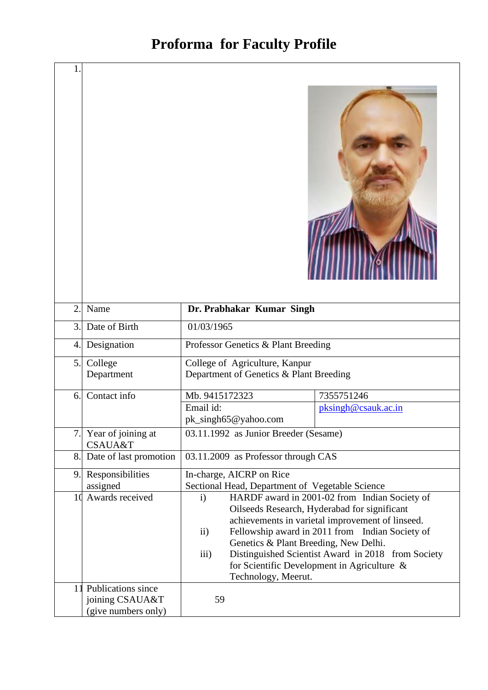## **Proforma for Faculty Profile**

| $\mathbf{1}$   |                                                                 |                                                                                   |                                                                                                                                                                                                                                                             |  |  |
|----------------|-----------------------------------------------------------------|-----------------------------------------------------------------------------------|-------------------------------------------------------------------------------------------------------------------------------------------------------------------------------------------------------------------------------------------------------------|--|--|
| $\overline{2}$ | Name                                                            | Dr. Prabhakar Kumar Singh                                                         |                                                                                                                                                                                                                                                             |  |  |
| 3.             | Date of Birth                                                   | 01/03/1965                                                                        |                                                                                                                                                                                                                                                             |  |  |
| 4.             | Designation                                                     | Professor Genetics & Plant Breeding                                               |                                                                                                                                                                                                                                                             |  |  |
| 5.             | College<br>Department                                           | College of Agriculture, Kanpur<br>Department of Genetics & Plant Breeding         |                                                                                                                                                                                                                                                             |  |  |
| 6.             | Contact info                                                    | Mb. 9415172323                                                                    | 7355751246                                                                                                                                                                                                                                                  |  |  |
|                |                                                                 | Email id:<br>pk_singh65@yahoo.com                                                 | pksingh@csauk.ac.in                                                                                                                                                                                                                                         |  |  |
| 7.             | Year of joining at<br><b>CSAUA&amp;T</b>                        | 03.11.1992 as Junior Breeder (Sesame)                                             |                                                                                                                                                                                                                                                             |  |  |
| 8.             | Date of last promotion                                          | 03.11.2009 as Professor through CAS                                               |                                                                                                                                                                                                                                                             |  |  |
| 9.             | Responsibilities                                                | In-charge, AICRP on Rice                                                          |                                                                                                                                                                                                                                                             |  |  |
| 10             | assigned<br>Awards received                                     | Sectional Head, Department of Vegetable Science<br>$\mathbf{i}$                   | HARDF award in 2001-02 from Indian Society of                                                                                                                                                                                                               |  |  |
|                |                                                                 | $\rm ii)$<br>Genetics & Plant Breeding, New Delhi.<br>iii)<br>Technology, Meerut. | Oilseeds Research, Hyderabad for significant<br>achievements in varietal improvement of linseed.<br>Fellowship award in 2011 from Indian Society of<br>Distinguished Scientist Award in 2018 from Society<br>for Scientific Development in Agriculture $\&$ |  |  |
|                | 11 Publications since<br>joining CSAUA&T<br>(give numbers only) | 59                                                                                |                                                                                                                                                                                                                                                             |  |  |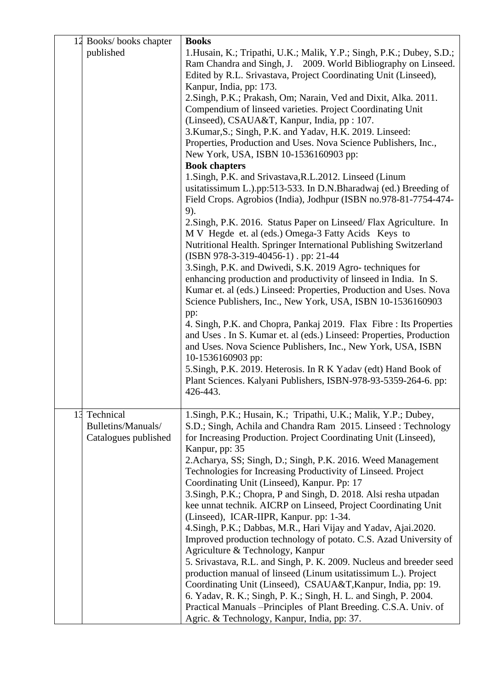| 12 Books/books chapter                                     | <b>Books</b>                                                                                                                                                                                                                                                                                                                                                                                                                                                                                                                                                                                                                                                                                                                                                                                                                                                                                                                                                                                                                                                                                                                                                                                                                                                                                                                                                                                                                                                                                                                                                                                                                                                                                                                                  |
|------------------------------------------------------------|-----------------------------------------------------------------------------------------------------------------------------------------------------------------------------------------------------------------------------------------------------------------------------------------------------------------------------------------------------------------------------------------------------------------------------------------------------------------------------------------------------------------------------------------------------------------------------------------------------------------------------------------------------------------------------------------------------------------------------------------------------------------------------------------------------------------------------------------------------------------------------------------------------------------------------------------------------------------------------------------------------------------------------------------------------------------------------------------------------------------------------------------------------------------------------------------------------------------------------------------------------------------------------------------------------------------------------------------------------------------------------------------------------------------------------------------------------------------------------------------------------------------------------------------------------------------------------------------------------------------------------------------------------------------------------------------------------------------------------------------------|
| published                                                  | 1. Husain, K.; Tripathi, U.K.; Malik, Y.P.; Singh, P.K.; Dubey, S.D.;<br>Ram Chandra and Singh, J. 2009. World Bibliography on Linseed.<br>Edited by R.L. Srivastava, Project Coordinating Unit (Linseed),<br>Kanpur, India, pp: 173.<br>2. Singh, P.K.; Prakash, Om; Narain, Ved and Dixit, Alka. 2011.<br>Compendium of linseed varieties. Project Coordinating Unit<br>(Linseed), CSAUA&T, Kanpur, India, pp : 107.<br>3. Kumar, S.; Singh, P.K. and Yadav, H.K. 2019. Linseed:<br>Properties, Production and Uses. Nova Science Publishers, Inc.,<br>New York, USA, ISBN 10-1536160903 pp:<br><b>Book chapters</b><br>1. Singh, P.K. and Srivastava, R.L. 2012. Linseed (Linum<br>usitatissimum L.).pp:513-533. In D.N.Bharadwaj (ed.) Breeding of<br>Field Crops. Agrobios (India), Jodhpur (ISBN no.978-81-7754-474-<br>9).<br>2. Singh, P.K. 2016. Status Paper on Linseed/Flax Agriculture. In<br>M V Hegde et. al (eds.) Omega-3 Fatty Acids Keys to<br>Nutritional Health. Springer International Publishing Switzerland<br>(ISBN 978-3-319-40456-1). pp: 21-44<br>3. Singh, P.K. and Dwivedi, S.K. 2019 Agro- techniques for<br>enhancing production and productivity of linseed in India. In S.<br>Kumar et. al (eds.) Linseed: Properties, Production and Uses. Nova<br>Science Publishers, Inc., New York, USA, ISBN 10-1536160903<br>pp:<br>4. Singh, P.K. and Chopra, Pankaj 2019. Flax Fibre : Its Properties<br>and Uses . In S. Kumar et. al (eds.) Linseed: Properties, Production<br>and Uses. Nova Science Publishers, Inc., New York, USA, ISBN<br>10-1536160903 pp:<br>5. Singh, P.K. 2019. Heterosis. In R K Yadav (edt) Hand Book of<br>Plant Sciences. Kalyani Publishers, ISBN-978-93-5359-264-6. pp:<br>426-443. |
| 13 Technical<br>Bulletins/Manuals/<br>Catalogues published | 1. Singh, P.K.; Husain, K.; Tripathi, U.K.; Malik, Y.P.; Dubey,<br>S.D.; Singh, Achila and Chandra Ram 2015. Linseed: Technology<br>for Increasing Production. Project Coordinating Unit (Linseed),<br>Kanpur, pp: 35<br>2. Acharya, SS; Singh, D.; Singh, P.K. 2016. Weed Management<br>Technologies for Increasing Productivity of Linseed. Project<br>Coordinating Unit (Linseed), Kanpur. Pp: 17<br>3. Singh, P.K.; Chopra, P and Singh, D. 2018. Alsi resha utpadan<br>kee unnat technik. AICRP on Linseed, Project Coordinating Unit<br>(Linseed), ICAR-IIPR, Kanpur. pp: 1-34.<br>4. Singh, P.K.; Dabbas, M.R., Hari Vijay and Yadav, Ajai. 2020.<br>Improved production technology of potato. C.S. Azad University of<br>Agriculture & Technology, Kanpur<br>5. Srivastava, R.L. and Singh, P. K. 2009. Nucleus and breeder seed<br>production manual of linseed (Linum usitatissimum L.). Project<br>Coordinating Unit (Linseed), CSAUA&T, Kanpur, India, pp: 19.<br>6. Yadav, R. K.; Singh, P. K.; Singh, H. L. and Singh, P. 2004.<br>Practical Manuals -- Principles of Plant Breeding. C.S.A. Univ. of<br>Agric. & Technology, Kanpur, India, pp: 37.                                                                                                                                                                                                                                                                                                                                                                                                                                                                                                                                                                            |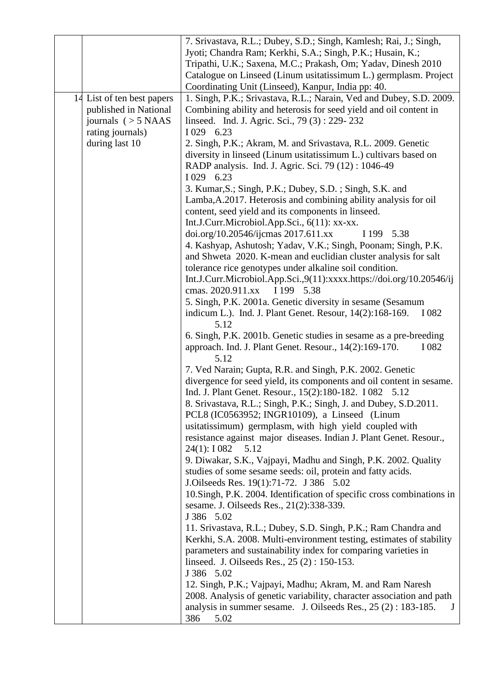|                            | 7. Srivastava, R.L.; Dubey, S.D.; Singh, Kamlesh; Rai, J.; Singh,      |
|----------------------------|------------------------------------------------------------------------|
|                            | Jyoti; Chandra Ram; Kerkhi, S.A.; Singh, P.K.; Husain, K.;             |
|                            | Tripathi, U.K.; Saxena, M.C.; Prakash, Om; Yadav, Dinesh 2010          |
|                            | Catalogue on Linseed (Linum usitatissimum L.) germplasm. Project       |
|                            | Coordinating Unit (Linseed), Kanpur, India pp: 40.                     |
| 14 List of ten best papers | 1. Singh, P.K.; Srivastava, R.L.; Narain, Ved and Dubey, S.D. 2009.    |
| published in National      | Combining ability and heterosis for seed yield and oil content in      |
|                            |                                                                        |
| journals $(>5$ NAAS        | linseed. Ind. J. Agric. Sci., 79 (3): 229-232                          |
| rating journals)           | I 029 6.23                                                             |
| during last 10             | 2. Singh, P.K.; Akram, M. and Srivastava, R.L. 2009. Genetic           |
|                            | diversity in linseed (Linum usitatissimum L.) cultivars based on       |
|                            | RADP analysis. Ind. J. Agric. Sci. 79 (12): 1046-49                    |
|                            | I 029 6.23                                                             |
|                            | 3. Kumar, S.; Singh, P.K.; Dubey, S.D.; Singh, S.K. and                |
|                            | Lamba, A.2017. Heterosis and combining ability analysis for oil        |
|                            | content, seed yield and its components in linseed.                     |
|                            | Int.J.Curr.Microbiol.App.Sci., 6(11): xx-xx.                           |
|                            | doi.org/10.20546/ijcmas 2017.611.xx<br>I 199 5.38                      |
|                            | 4. Kashyap, Ashutosh; Yadav, V.K.; Singh, Poonam; Singh, P.K.          |
|                            | and Shweta 2020. K-mean and euclidian cluster analysis for salt        |
|                            | tolerance rice genotypes under alkaline soil condition.                |
|                            | Int.J.Curr.Microbiol.App.Sci.,9(11):xxxx.https://doi.org/10.20546/ij   |
|                            | cmas. 2020.911.xx<br>I 199 5.38                                        |
|                            | 5. Singh, P.K. 2001a. Genetic diversity in sesame (Sesamum             |
|                            | indicum L.). Ind. J. Plant Genet. Resour, 14(2):168-169.<br>I 082      |
|                            | 5.12                                                                   |
|                            | 6. Singh, P.K. 2001b. Genetic studies in sesame as a pre-breeding      |
|                            | approach. Ind. J. Plant Genet. Resour., 14(2):169-170.<br>I 082        |
|                            | 5.12                                                                   |
|                            | 7. Ved Narain; Gupta, R.R. and Singh, P.K. 2002. Genetic               |
|                            | divergence for seed yield, its components and oil content in sesame.   |
|                            | Ind. J. Plant Genet. Resour., 15(2):180-182. I 082 5.12                |
|                            | 8. Srivastava, R.L.; Singh, P.K.; Singh, J. and Dubey, S.D.2011.       |
|                            | PCL8 (IC0563952; INGR10109), a Linseed (Linum                          |
|                            | usitatissimum) germplasm, with high yield coupled with                 |
|                            | resistance against major diseases. Indian J. Plant Genet. Resour.,     |
|                            | 24(1): 1082<br>5.12                                                    |
|                            | 9. Diwakar, S.K., Vajpayi, Madhu and Singh, P.K. 2002. Quality         |
|                            | studies of some sesame seeds: oil, protein and fatty acids.            |
|                            | J.Oilseeds Res. 19(1):71-72. J 386 5.02                                |
|                            | 10. Singh, P.K. 2004. Identification of specific cross combinations in |
|                            | sesame. J. Oilseeds Res., 21(2):338-339.                               |
|                            | J 386 5.02                                                             |
|                            | 11. Srivastava, R.L.; Dubey, S.D. Singh, P.K.; Ram Chandra and         |
|                            | Kerkhi, S.A. 2008. Multi-environment testing, estimates of stability   |
|                            | parameters and sustainability index for comparing varieties in         |
|                            | linseed. J. Oilseeds Res., 25 (2) : 150-153.                           |
|                            | J 386 5.02                                                             |
|                            | 12. Singh, P.K.; Vajpayi, Madhu; Akram, M. and Ram Naresh              |
|                            | 2008. Analysis of genetic variability, character association and path  |
|                            | analysis in summer sesame. J. Oilseeds Res., $25(2)$ : 183-185.<br>J   |
|                            | 386<br>5.02                                                            |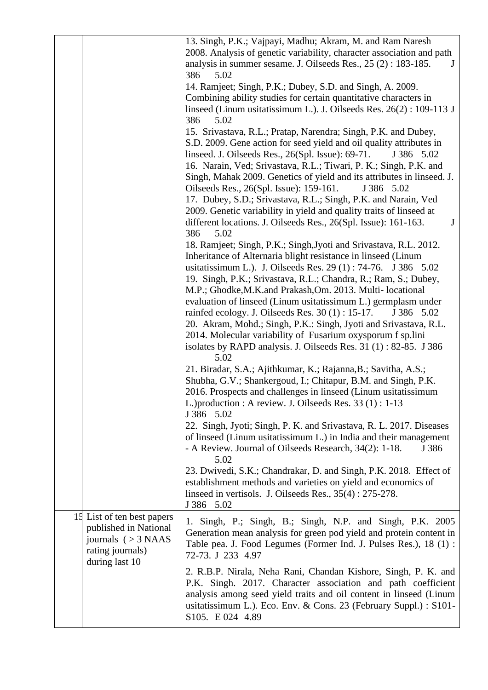|                                                                                                                  | 13. Singh, P.K.; Vajpayi, Madhu; Akram, M. and Ram Naresh<br>2008. Analysis of genetic variability, character association and path<br>analysis in summer sesame. J. Oilseeds Res., $25(2)$ : 183-185.<br>$J_{\rm}$                                                                                                                                                                                                                                                                                                                                                                                                                                                                               |
|------------------------------------------------------------------------------------------------------------------|--------------------------------------------------------------------------------------------------------------------------------------------------------------------------------------------------------------------------------------------------------------------------------------------------------------------------------------------------------------------------------------------------------------------------------------------------------------------------------------------------------------------------------------------------------------------------------------------------------------------------------------------------------------------------------------------------|
|                                                                                                                  | 386<br>5.02<br>14. Ramjeet; Singh, P.K.; Dubey, S.D. and Singh, A. 2009.<br>Combining ability studies for certain quantitative characters in<br>linseed (Linum usitatissimum L.). J. Oilseeds Res. 26(2): 109-113 J<br>386<br>5.02                                                                                                                                                                                                                                                                                                                                                                                                                                                               |
|                                                                                                                  | 15. Srivastava, R.L.; Pratap, Narendra; Singh, P.K. and Dubey,<br>S.D. 2009. Gene action for seed yield and oil quality attributes in<br>linseed. J. Oilseeds Res., 26(Spl. Issue): 69-71.<br>J 386 5.02<br>16. Narain, Ved; Srivastava, R.L.; Tiwari, P. K.; Singh, P.K. and<br>Singh, Mahak 2009. Genetics of yield and its attributes in linseed. J.<br>Oilseeds Res., 26(Spl. Issue): 159-161.<br>J 386 5.02<br>17. Dubey, S.D.; Srivastava, R.L.; Singh, P.K. and Narain, Ved<br>2009. Genetic variability in yield and quality traits of linseed at<br>different locations. J. Oilseeds Res., 26(Spl. Issue): 161-163.<br>J                                                                |
|                                                                                                                  | 386<br>5.02<br>18. Ramjeet; Singh, P.K.; Singh, Jyoti and Srivastava, R.L. 2012.<br>Inheritance of Alternaria blight resistance in linseed (Linum<br>usitatissimum L.). J. Oilseeds Res. 29 (1): 74-76. J 386 5.02<br>19. Singh, P.K.; Srivastava, R.L.; Chandra, R.; Ram, S.; Dubey,<br>M.P.; Ghodke, M.K. and Prakash, Om. 2013. Multi-locational<br>evaluation of linseed (Linum usitatissimum L.) germplasm under<br>rainfed ecology. J. Oilseeds Res. $30(1)$ : 15-17.<br>J 386 5.02<br>20. Akram, Mohd.; Singh, P.K.: Singh, Jyoti and Srivastava, R.L.<br>2014. Molecular variability of Fusarium oxysporum f sp.lini<br>isolates by RAPD analysis. J. Oilseeds Res. 31 (1): 82-85. J 386 |
|                                                                                                                  | 5.02<br>21. Biradar, S.A.; Ajithkumar, K.; Rajanna, B.; Savitha, A.S.;<br>Shubha, G.V.; Shankergoud, I.; Chitapur, B.M. and Singh, P.K.<br>2016. Prospects and challenges in linseed (Linum usitatissimum<br>L.) production : A review. J. Oilseeds Res. 33 (1) : 1-13<br>J 386 5.02                                                                                                                                                                                                                                                                                                                                                                                                             |
|                                                                                                                  | 22. Singh, Jyoti; Singh, P. K. and Srivastava, R. L. 2017. Diseases<br>of linseed (Linum usitatissimum L.) in India and their management<br>- A Review. Journal of Oilseeds Research, 34(2): 1-18.<br>J 386<br>5.02                                                                                                                                                                                                                                                                                                                                                                                                                                                                              |
|                                                                                                                  | 23. Dwivedi, S.K.; Chandrakar, D. and Singh, P.K. 2018. Effect of<br>establishment methods and varieties on yield and economics of<br>linseed in vertisols. J. Oilseeds Res., 35(4): 275-278.<br>J 386 5.02                                                                                                                                                                                                                                                                                                                                                                                                                                                                                      |
| 15 List of ten best papers<br>published in National<br>journals $(>3$ NAAS<br>rating journals)<br>during last 10 | 1. Singh, P.; Singh, B.; Singh, N.P. and Singh, P.K. 2005<br>Generation mean analysis for green pod yield and protein content in<br>Table pea. J. Food Legumes (Former Ind. J. Pulses Res.), 18 (1) :<br>72-73. J 233 4.97                                                                                                                                                                                                                                                                                                                                                                                                                                                                       |
|                                                                                                                  | 2. R.B.P. Nirala, Neha Rani, Chandan Kishore, Singh, P. K. and<br>P.K. Singh. 2017. Character association and path coefficient<br>analysis among seed yield traits and oil content in linseed (Linum<br>usitatissimum L.). Eco. Env. & Cons. 23 (February Suppl.) : S101-<br>S105. E 024 4.89                                                                                                                                                                                                                                                                                                                                                                                                    |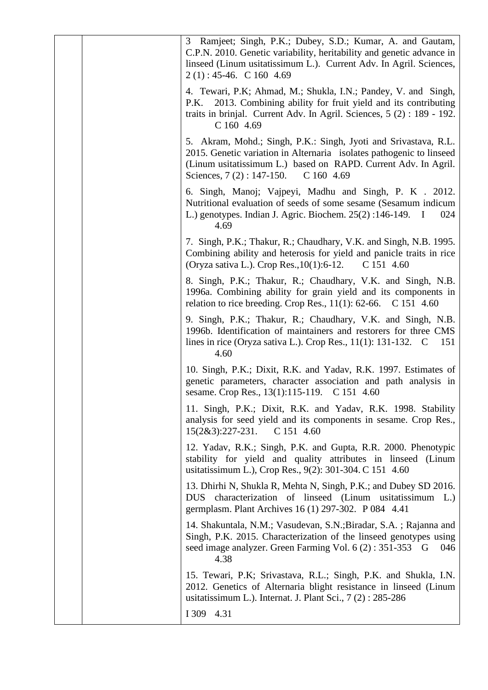| Ramjeet; Singh, P.K.; Dubey, S.D.; Kumar, A. and Gautam,<br>3<br>C.P.N. 2010. Genetic variability, heritability and genetic advance in<br>linseed (Linum usitatissimum L.). Current Adv. In Agril. Sciences,<br>$2(1): 45-46.$ C 160 4.69            |
|------------------------------------------------------------------------------------------------------------------------------------------------------------------------------------------------------------------------------------------------------|
| 4. Tewari, P.K; Ahmad, M.; Shukla, I.N.; Pandey, V. and Singh,<br>P.K. 2013. Combining ability for fruit yield and its contributing<br>traits in brinjal. Current Adv. In Agril. Sciences, 5 (2) : 189 - 192.<br>C 160 4.69                          |
| 5. Akram, Mohd.; Singh, P.K.: Singh, Jyoti and Srivastava, R.L.<br>2015. Genetic variation in Alternaria isolates pathogenic to linseed<br>(Linum usitatissimum L.) based on RAPD. Current Adv. In Agril.<br>Sciences, $7(2)$ : 147-150.<br>C1604.69 |
| 6. Singh, Manoj; Vajpeyi, Madhu and Singh, P. K . 2012.<br>Nutritional evaluation of seeds of some sesame (Sesamum indicum<br>L.) genotypes. Indian J. Agric. Biochem. 25(2):146-149. I<br>024<br>4.69                                               |
| 7. Singh, P.K.; Thakur, R.; Chaudhary, V.K. and Singh, N.B. 1995.<br>Combining ability and heterosis for yield and panicle traits in rice<br>(Oryza sativa L.). Crop Res., $10(1)$ : 6-12.<br>C 151 4.60                                             |
| 8. Singh, P.K.; Thakur, R.; Chaudhary, V.K. and Singh, N.B.<br>1996a. Combining ability for grain yield and its components in<br>relation to rice breeding. Crop Res., $11(1)$ : 62-66. C 151 4.60                                                   |
| 9. Singh, P.K.; Thakur, R.; Chaudhary, V.K. and Singh, N.B.<br>1996b. Identification of maintainers and restorers for three CMS<br>lines in rice (Oryza sativa L.). Crop Res., $11(1)$ : 131-132. C<br>151<br>4.60                                   |
| 10. Singh, P.K.; Dixit, R.K. and Yadav, R.K. 1997. Estimates of<br>genetic parameters, character association and path analysis in<br>sesame. Crop Res., 13(1):115-119. C 151 4.60                                                                    |
| 11. Singh, P.K.; Dixit, R.K. and Yadav, R.K. 1998. Stability<br>analysis for seed yield and its components in sesame. Crop Res.,<br>$15(2&3):227-231.$<br>C 151 4.60                                                                                 |
| 12. Yadav, R.K.; Singh, P.K. and Gupta, R.R. 2000. Phenotypic<br>stability for yield and quality attributes in linseed (Linum<br>usitatissimum L.), Crop Res., 9(2): 301-304. C 151 4.60                                                             |
| 13. Dhirhi N, Shukla R, Mehta N, Singh, P.K.; and Dubey SD 2016.<br>DUS characterization of linseed (Linum usitatissimum L.)<br>germplasm. Plant Archives 16 (1) 297-302. P 084 4.41                                                                 |
| 14. Shakuntala, N.M.; Vasudevan, S.N.; Biradar, S.A.; Rajanna and<br>Singh, P.K. 2015. Characterization of the linseed genotypes using<br>seed image analyzer. Green Farming Vol. 6 (2): 351-353 G<br>046<br>4.38                                    |
| 15. Tewari, P.K; Srivastava, R.L.; Singh, P.K. and Shukla, I.N.<br>2012. Genetics of Alternaria blight resistance in linseed (Linum<br>usitatissimum L.). Internat. J. Plant Sci., $7(2)$ : 285-286                                                  |
| I 309 4.31                                                                                                                                                                                                                                           |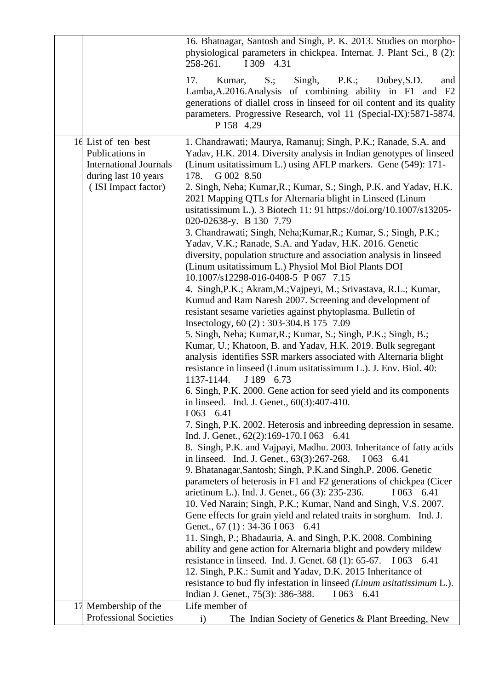|                                                                                                                        | 16. Bhatnagar, Santosh and Singh, P. K. 2013. Studies on morpho-<br>physiological parameters in chickpea. Internat. J. Plant Sci., 8 (2):<br>I 309 4.31<br>258-261.                                                                                                                                                                                                                                                                                                                                                                                                                                                                                                                                                                                                                                                                                                                                                                                                                                                                                                                                                                                                                                                                                                                                                                                                                                                                                                                                                                                                                                                                                                                                                                                                                                                                                                                                                                                                                                                                                                                                                                                                                                                                                                                                                                                                                                                                                                                                    |
|------------------------------------------------------------------------------------------------------------------------|--------------------------------------------------------------------------------------------------------------------------------------------------------------------------------------------------------------------------------------------------------------------------------------------------------------------------------------------------------------------------------------------------------------------------------------------------------------------------------------------------------------------------------------------------------------------------------------------------------------------------------------------------------------------------------------------------------------------------------------------------------------------------------------------------------------------------------------------------------------------------------------------------------------------------------------------------------------------------------------------------------------------------------------------------------------------------------------------------------------------------------------------------------------------------------------------------------------------------------------------------------------------------------------------------------------------------------------------------------------------------------------------------------------------------------------------------------------------------------------------------------------------------------------------------------------------------------------------------------------------------------------------------------------------------------------------------------------------------------------------------------------------------------------------------------------------------------------------------------------------------------------------------------------------------------------------------------------------------------------------------------------------------------------------------------------------------------------------------------------------------------------------------------------------------------------------------------------------------------------------------------------------------------------------------------------------------------------------------------------------------------------------------------------------------------------------------------------------------------------------------------|
|                                                                                                                        | 17.<br>$S$ .;<br>Singh,<br>P.K.;<br>Kumar,<br>Dubey, S.D.<br>and<br>Lamba, A.2016. Analysis of combining ability in F1 and F2<br>generations of diallel cross in linseed for oil content and its quality<br>parameters. Progressive Research, vol 11 (Special-IX):5871-5874.<br>P 158 4.29                                                                                                                                                                                                                                                                                                                                                                                                                                                                                                                                                                                                                                                                                                                                                                                                                                                                                                                                                                                                                                                                                                                                                                                                                                                                                                                                                                                                                                                                                                                                                                                                                                                                                                                                                                                                                                                                                                                                                                                                                                                                                                                                                                                                             |
| 16 List of ten best<br>Publications in<br><b>International Journals</b><br>during last 10 years<br>(ISI Impact factor) | 1. Chandrawati; Maurya, Ramanuj; Singh, P.K.; Ranade, S.A. and<br>Yadav, H.K. 2014. Diversity analysis in Indian genotypes of linseed<br>(Linum usitatissimum L.) using AFLP markers. Gene (549): 171-<br>G 002 8.50<br>178.<br>2. Singh, Neha; Kumar, R.; Kumar, S.; Singh, P.K. and Yadav, H.K.<br>2021 Mapping QTLs for Alternaria blight in Linseed (Linum<br>usitatissimum L.). 3 Biotech 11: 91 https://doi.org/10.1007/s13205-<br>020-02638-y. B 130 7.79<br>3. Chandrawati; Singh, Neha; Kumar, R.; Kumar, S.; Singh, P.K.;<br>Yadav, V.K.; Ranade, S.A. and Yadav, H.K. 2016. Genetic<br>diversity, population structure and association analysis in linseed<br>(Linum usitatissimum L.) Physiol Mol Biol Plants DOI<br>10.1007/s12298-016-0408-5 P 067 7.15<br>4. Singh, P.K.; Akram, M.; Vajpeyi, M.; Srivastava, R.L.; Kumar,<br>Kumud and Ram Naresh 2007. Screening and development of<br>resistant sesame varieties against phytoplasma. Bulletin of<br>Insectology, 60 (2): 303-304. B 175 7.09<br>5. Singh, Neha; Kumar, R.; Kumar, S.; Singh, P.K.; Singh, B.;<br>Kumar, U.; Khatoon, B. and Yadav, H.K. 2019. Bulk segregant<br>analysis identifies SSR markers associated with Alternaria blight<br>resistance in linseed (Linum usitatissimum L.). J. Env. Biol. 40:<br>1137-1144.<br>J 189 6.73<br>6. Singh, P.K. 2000. Gene action for seed yield and its components<br>in linseed. Ind. J. Genet., 60(3):407-410.<br>I 063 6.41<br>7. Singh, P.K. 2002. Heterosis and inbreeding depression in sesame.<br>Ind. J. Genet., 62(2):169-170. I 063 6.41<br>8. Singh, P.K. and Vajpayi, Madhu. 2003. Inheritance of fatty acids<br>in linseed. Ind. J. Genet., 63(3):267-268.<br>I 063 6.41<br>9. Bhatanagar, Santosh; Singh, P.K.and Singh, P. 2006. Genetic<br>parameters of heterosis in F1 and F2 generations of chickpea (Cicer<br>arietinum L.). Ind. J. Genet., 66 (3): 235-236.<br>I 063 6.41<br>10. Ved Narain; Singh, P.K.; Kumar, Nand and Singh, V.S. 2007.<br>Gene effects for grain yield and related traits in sorghum. Ind. J.<br>Genet., 67 (1): 34-36 I 063 6.41<br>11. Singh, P.; Bhadauria, A. and Singh, P.K. 2008. Combining<br>ability and gene action for Alternaria blight and powdery mildew<br>resistance in linseed. Ind. J. Genet. 68 (1): 65-67. I 063 6.41<br>12. Singh, P.K.: Sumit and Yadav, D.K. 2015 Inheritance of<br>resistance to bud fly infestation in linseed (Linum usitatissimum L.).<br>Indian J. Genet., 75(3): 386-388.<br>1063 6.41 |
| 17 Membership of the                                                                                                   | Life member of                                                                                                                                                                                                                                                                                                                                                                                                                                                                                                                                                                                                                                                                                                                                                                                                                                                                                                                                                                                                                                                                                                                                                                                                                                                                                                                                                                                                                                                                                                                                                                                                                                                                                                                                                                                                                                                                                                                                                                                                                                                                                                                                                                                                                                                                                                                                                                                                                                                                                         |
| <b>Professional Societies</b>                                                                                          | The Indian Society of Genetics & Plant Breeding, New<br>$\mathbf{i}$                                                                                                                                                                                                                                                                                                                                                                                                                                                                                                                                                                                                                                                                                                                                                                                                                                                                                                                                                                                                                                                                                                                                                                                                                                                                                                                                                                                                                                                                                                                                                                                                                                                                                                                                                                                                                                                                                                                                                                                                                                                                                                                                                                                                                                                                                                                                                                                                                                   |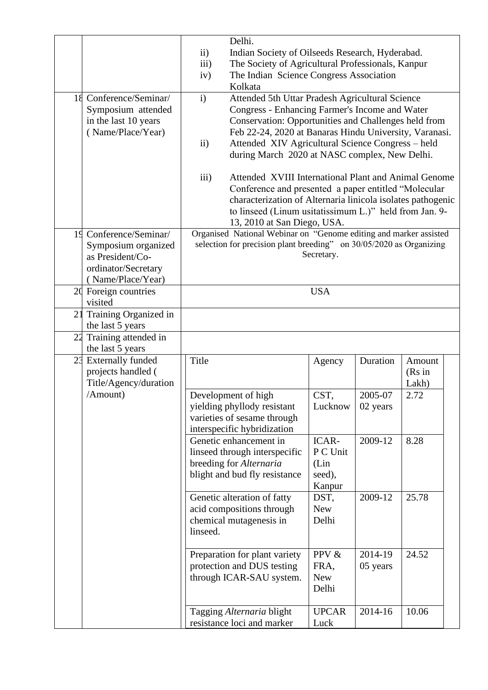|    |                                                                                                            | $\mathbf{ii}$<br>iii)<br>iv)                                                                                                                           | Delhi.<br>Indian Society of Oilseeds Research, Hyderabad.<br>The Society of Agricultural Professionals, Kanpur<br>The Indian Science Congress Association<br>Kolkata                                                                                                                                                      |                                               |                     |                           |  |
|----|------------------------------------------------------------------------------------------------------------|--------------------------------------------------------------------------------------------------------------------------------------------------------|---------------------------------------------------------------------------------------------------------------------------------------------------------------------------------------------------------------------------------------------------------------------------------------------------------------------------|-----------------------------------------------|---------------------|---------------------------|--|
|    | 18 Conference/Seminar/<br>Symposium attended<br>in the last 10 years<br>(Name/Place/Year)                  | $\mathbf{i}$<br>$\mathbf{ii}$                                                                                                                          | Attended 5th Uttar Pradesh Agricultural Science<br>Congress - Enhancing Farmer's Income and Water<br>Conservation: Opportunities and Challenges held from<br>Feb 22-24, 2020 at Banaras Hindu University, Varanasi.<br>Attended XIV Agricultural Science Congress - held<br>during March 2020 at NASC complex, New Delhi. |                                               |                     |                           |  |
|    |                                                                                                            | iii)                                                                                                                                                   | Attended XVIII International Plant and Animal Genome<br>Conference and presented a paper entitled "Molecular<br>characterization of Alternaria linicola isolates pathogenic<br>to linseed (Linum usitatissimum L.)" held from Jan. 9-<br>13, 2010 at San Diego, USA.                                                      |                                               |                     |                           |  |
| 19 | Conference/Seminar/<br>Symposium organized<br>as President/Co-<br>ordinator/Secretary<br>(Name/Place/Year) | Organised National Webinar on "Genome editing and marker assisted<br>selection for precision plant breeding" on 30/05/2020 as Organizing<br>Secretary. |                                                                                                                                                                                                                                                                                                                           |                                               |                     |                           |  |
|    | 20 Foreign countries<br>visited                                                                            | <b>USA</b>                                                                                                                                             |                                                                                                                                                                                                                                                                                                                           |                                               |                     |                           |  |
| 21 | Training Organized in<br>the last 5 years                                                                  |                                                                                                                                                        |                                                                                                                                                                                                                                                                                                                           |                                               |                     |                           |  |
|    | 22 Training attended in<br>the last 5 years                                                                |                                                                                                                                                        |                                                                                                                                                                                                                                                                                                                           |                                               |                     |                           |  |
| 23 | <b>Externally funded</b><br>projects handled (<br>Title/Agency/duration                                    | Title                                                                                                                                                  |                                                                                                                                                                                                                                                                                                                           | Agency                                        | Duration            | Amount<br>(Rs in<br>Lakh) |  |
|    | /Amount)                                                                                                   |                                                                                                                                                        | Development of high<br>yielding phyllody resistant<br>varieties of sesame through<br>interspecific hybridization                                                                                                                                                                                                          | CST,<br>Lucknow                               | 2005-07<br>02 years | 2.72                      |  |
|    |                                                                                                            |                                                                                                                                                        | Genetic enhancement in<br>linseed through interspecific<br>breeding for Alternaria<br>blight and bud fly resistance                                                                                                                                                                                                       | ICAR-<br>P C Unit<br>(Lin<br>seed),<br>Kanpur | 2009-12             | 8.28                      |  |
|    |                                                                                                            | linseed.                                                                                                                                               | Genetic alteration of fatty<br>acid compositions through<br>chemical mutagenesis in                                                                                                                                                                                                                                       | DST,<br><b>New</b><br>Delhi                   | 2009-12             | 25.78                     |  |
|    |                                                                                                            |                                                                                                                                                        | Preparation for plant variety<br>protection and DUS testing<br>through ICAR-SAU system.                                                                                                                                                                                                                                   | PPV &<br>FRA,<br><b>New</b><br>Delhi          | 2014-19<br>05 years | 24.52                     |  |
|    |                                                                                                            |                                                                                                                                                        | Tagging Alternaria blight<br>resistance loci and marker                                                                                                                                                                                                                                                                   | <b>UPCAR</b><br>Luck                          | 2014-16             | 10.06                     |  |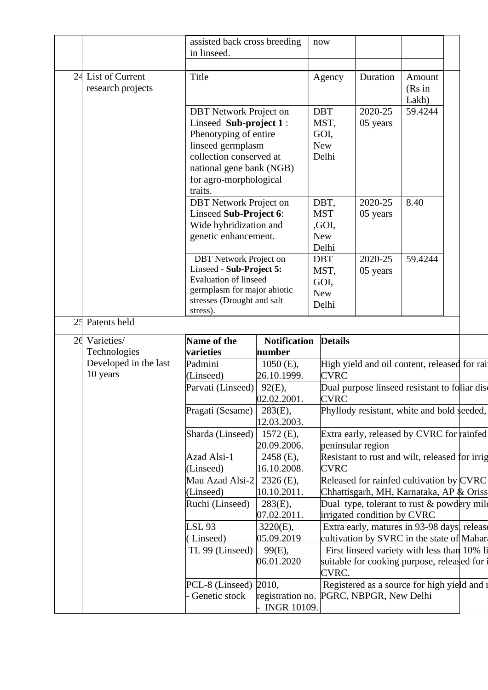|    |                       | assisted back cross breeding<br>in linseed.               |                     | now                |                                                                       |         |  |
|----|-----------------------|-----------------------------------------------------------|---------------------|--------------------|-----------------------------------------------------------------------|---------|--|
|    |                       |                                                           |                     |                    |                                                                       |         |  |
| 24 | List of Current       | Title                                                     |                     | Agency             | Duration                                                              | Amount  |  |
|    | research projects     |                                                           |                     |                    |                                                                       | (Rs in  |  |
|    |                       |                                                           |                     |                    |                                                                       | Lakh)   |  |
|    |                       | <b>DBT</b> Network Project on                             |                     | <b>DBT</b>         | 2020-25                                                               | 59.4244 |  |
|    |                       | Linseed Sub-project 1:                                    |                     | MST,               | 05 years                                                              |         |  |
|    |                       | Phenotyping of entire                                     |                     | GOI,               |                                                                       |         |  |
|    |                       | linseed germplasm                                         |                     | <b>New</b>         |                                                                       |         |  |
|    |                       | collection conserved at                                   |                     | Delhi              |                                                                       |         |  |
|    |                       | national gene bank (NGB)                                  |                     |                    |                                                                       |         |  |
|    |                       | for agro-morphological                                    |                     |                    |                                                                       |         |  |
|    |                       | traits.                                                   |                     |                    |                                                                       |         |  |
|    |                       | <b>DBT</b> Network Project on                             |                     | DBT,               | 2020-25                                                               | 8.40    |  |
|    |                       | Linseed Sub-Project 6:                                    |                     | <b>MST</b>         | 05 years                                                              |         |  |
|    |                       | Wide hybridization and                                    |                     | ,GOI,              |                                                                       |         |  |
|    |                       | genetic enhancement.                                      |                     | <b>New</b>         |                                                                       |         |  |
|    |                       |                                                           |                     | Delhi              |                                                                       |         |  |
|    |                       | <b>DBT</b> Network Project on<br>Linseed - Sub-Project 5: |                     | <b>DBT</b>         | 2020-25                                                               | 59.4244 |  |
|    |                       | Evaluation of linseed                                     |                     | MST,               | 05 years                                                              |         |  |
|    |                       | germplasm for major abiotic                               |                     | GOI,<br><b>New</b> |                                                                       |         |  |
|    |                       | stresses (Drought and salt                                |                     | Delhi              |                                                                       |         |  |
|    |                       | stress).                                                  |                     |                    |                                                                       |         |  |
| 25 | Patents held          |                                                           |                     |                    |                                                                       |         |  |
| 26 | Varieties/            | Name of the                                               | <b>Notification</b> | <b>Details</b>     |                                                                       |         |  |
|    | Technologies          | varieties                                                 | number              |                    |                                                                       |         |  |
|    | Developed in the last | Padmini                                                   | $1050$ (E),         |                    | High yield and oil content, released for rail                         |         |  |
|    | 10 years              | (Linseed)                                                 | 26.10.1999.         | <b>CVRC</b>        |                                                                       |         |  |
|    |                       | Parvati (Linseed)                                         | $92(E)$ ,           |                    | Dual purpose linseed resistant to foliar dise                         |         |  |
|    |                       |                                                           | 02.02.2001          | <b>CVRC</b>        |                                                                       |         |  |
|    |                       | Pragati (Sesame)                                          | $283(E)$ ,          |                    | Phyllody resistant, white and bold seeded,                            |         |  |
|    |                       |                                                           | 12.03.2003.         |                    |                                                                       |         |  |
|    |                       |                                                           |                     |                    |                                                                       |         |  |
|    |                       | Sharda (Linseed)                                          | $1572$ (E),         |                    | Extra early, released by CVRC for rainfed                             |         |  |
|    |                       |                                                           | 20.09.2006.         |                    | peninsular region                                                     |         |  |
|    |                       | Azad Alsi-1                                               | $2458$ (E),         |                    | Resistant to rust and wilt, released for irrig                        |         |  |
|    |                       | (Linseed)                                                 | 16.10.2008.         | <b>CVRC</b>        |                                                                       |         |  |
|    |                       | Mau Azad Alsi-2                                           | $2326$ (E),         |                    | Released for rainfed cultivation by CVRC                              |         |  |
|    |                       | (Linseed)                                                 | 10.10.2011.         |                    | Chhattisgarh, MH, Karnataka, AP & Oriss                               |         |  |
|    |                       | Ruchi (Linseed)                                           | $283(E)$ ,          |                    | Dual type, tolerant to rust $\&$ powdery mile                         |         |  |
|    |                       |                                                           | 07.02.2011.         |                    | irrigated condition by CVRC                                           |         |  |
|    |                       | <b>LSL 93</b>                                             | $3220(E)$ ,         |                    | Extra early, matures in 93-98 days, release                           |         |  |
|    |                       | (Linseed)                                                 | 05.09.2019          |                    | cultivation by SVRC in the state of Mahara                            |         |  |
|    |                       | TL 99 (Linseed)                                           | 99(E),              |                    | First linseed variety with less than 10% li                           |         |  |
|    |                       |                                                           | 06.01.2020          |                    | suitable for cooking purpose, released for                            |         |  |
|    |                       |                                                           |                     | CVRC.              |                                                                       |         |  |
|    |                       | PCL-8 (Linseed) $\vert$ 2010,<br>Genetic stock            | registration no.    |                    | Registered as a source for high yield and a<br>PGRC, NBPGR, New Delhi |         |  |
|    |                       |                                                           | <b>INGR 10109.</b>  |                    |                                                                       |         |  |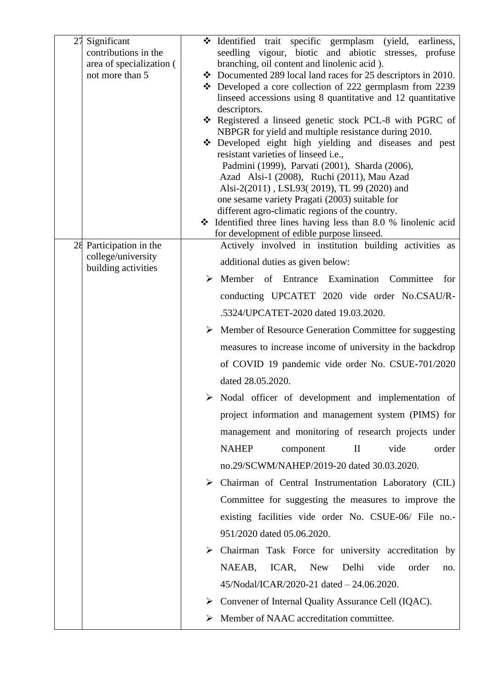| 27<br>Significant<br>contributions in the<br>area of specialization (<br>not more than 5 | * Identified trait specific germplasm (yield, earliness,<br>seedling vigour, biotic and abiotic stresses, profuse<br>branching, oil content and linolenic acid).<br>$\div$ Documented 289 local land races for 25 descriptors in 2010.<br>Developed a core collection of 222 germplasm from 2239<br>linseed accessions using 8 quantitative and 12 quantitative<br>descriptors.<br>* Registered a linseed genetic stock PCL-8 with PGRC of<br>NBPGR for yield and multiple resistance during 2010.<br>Developed eight high yielding and diseases and pest<br>resistant varieties of linseed i.e.,<br>Padmini (1999), Parvati (2001), Sharda (2006),<br>Azad Alsi-1 (2008), Ruchi (2011), Mau Azad<br>Alsi-2(2011), LSL93(2019), TL 99 (2020) and<br>one sesame variety Pragati (2003) suitable for<br>different agro-climatic regions of the country. |
|------------------------------------------------------------------------------------------|-------------------------------------------------------------------------------------------------------------------------------------------------------------------------------------------------------------------------------------------------------------------------------------------------------------------------------------------------------------------------------------------------------------------------------------------------------------------------------------------------------------------------------------------------------------------------------------------------------------------------------------------------------------------------------------------------------------------------------------------------------------------------------------------------------------------------------------------------------|
|                                                                                          | $\div$ Identified three lines having less than 8.0 % linolenic acid<br>for development of edible purpose linseed.                                                                                                                                                                                                                                                                                                                                                                                                                                                                                                                                                                                                                                                                                                                                     |
| 28 Participation in the                                                                  | Actively involved in institution building activities as                                                                                                                                                                                                                                                                                                                                                                                                                                                                                                                                                                                                                                                                                                                                                                                               |
| college/university<br>building activities                                                | additional duties as given below:                                                                                                                                                                                                                                                                                                                                                                                                                                                                                                                                                                                                                                                                                                                                                                                                                     |
|                                                                                          | Member of Entrance Examination Committee<br>➤<br>for                                                                                                                                                                                                                                                                                                                                                                                                                                                                                                                                                                                                                                                                                                                                                                                                  |
|                                                                                          | conducting UPCATET 2020 vide order No.CSAU/R-                                                                                                                                                                                                                                                                                                                                                                                                                                                                                                                                                                                                                                                                                                                                                                                                         |
|                                                                                          | .5324/UPCATET-2020 dated 19.03.2020.                                                                                                                                                                                                                                                                                                                                                                                                                                                                                                                                                                                                                                                                                                                                                                                                                  |
|                                                                                          | Member of Resource Generation Committee for suggesting<br>➤                                                                                                                                                                                                                                                                                                                                                                                                                                                                                                                                                                                                                                                                                                                                                                                           |
|                                                                                          | measures to increase income of university in the backdrop                                                                                                                                                                                                                                                                                                                                                                                                                                                                                                                                                                                                                                                                                                                                                                                             |
|                                                                                          | of COVID 19 pandemic vide order No. CSUE-701/2020                                                                                                                                                                                                                                                                                                                                                                                                                                                                                                                                                                                                                                                                                                                                                                                                     |
|                                                                                          | dated 28.05.2020.                                                                                                                                                                                                                                                                                                                                                                                                                                                                                                                                                                                                                                                                                                                                                                                                                                     |
|                                                                                          | $\triangleright$ Nodal officer of development and implementation of                                                                                                                                                                                                                                                                                                                                                                                                                                                                                                                                                                                                                                                                                                                                                                                   |
|                                                                                          | project information and management system (PIMS) for                                                                                                                                                                                                                                                                                                                                                                                                                                                                                                                                                                                                                                                                                                                                                                                                  |
|                                                                                          | management and monitoring of research projects under                                                                                                                                                                                                                                                                                                                                                                                                                                                                                                                                                                                                                                                                                                                                                                                                  |
|                                                                                          | <b>NAHEP</b><br>vide<br>order<br>component<br>$\rm II$                                                                                                                                                                                                                                                                                                                                                                                                                                                                                                                                                                                                                                                                                                                                                                                                |
|                                                                                          | no.29/SCWM/NAHEP/2019-20 dated 30.03.2020.                                                                                                                                                                                                                                                                                                                                                                                                                                                                                                                                                                                                                                                                                                                                                                                                            |
|                                                                                          | Chairman of Central Instrumentation Laboratory (CIL)<br>➤                                                                                                                                                                                                                                                                                                                                                                                                                                                                                                                                                                                                                                                                                                                                                                                             |
|                                                                                          | Committee for suggesting the measures to improve the                                                                                                                                                                                                                                                                                                                                                                                                                                                                                                                                                                                                                                                                                                                                                                                                  |
|                                                                                          | existing facilities vide order No. CSUE-06/ File no.-                                                                                                                                                                                                                                                                                                                                                                                                                                                                                                                                                                                                                                                                                                                                                                                                 |
|                                                                                          | 951/2020 dated 05.06.2020.                                                                                                                                                                                                                                                                                                                                                                                                                                                                                                                                                                                                                                                                                                                                                                                                                            |
|                                                                                          | Chairman Task Force for university accreditation by<br>➤                                                                                                                                                                                                                                                                                                                                                                                                                                                                                                                                                                                                                                                                                                                                                                                              |
|                                                                                          | NAEAB,<br>ICAR,<br><b>New</b><br>Delhi<br>vide<br>order<br>no.                                                                                                                                                                                                                                                                                                                                                                                                                                                                                                                                                                                                                                                                                                                                                                                        |
|                                                                                          | 45/Nodal/ICAR/2020-21 dated - 24.06.2020.                                                                                                                                                                                                                                                                                                                                                                                                                                                                                                                                                                                                                                                                                                                                                                                                             |
|                                                                                          | Convener of Internal Quality Assurance Cell (IQAC).<br>➤                                                                                                                                                                                                                                                                                                                                                                                                                                                                                                                                                                                                                                                                                                                                                                                              |
|                                                                                          | Member of NAAC accreditation committee.                                                                                                                                                                                                                                                                                                                                                                                                                                                                                                                                                                                                                                                                                                                                                                                                               |
|                                                                                          |                                                                                                                                                                                                                                                                                                                                                                                                                                                                                                                                                                                                                                                                                                                                                                                                                                                       |